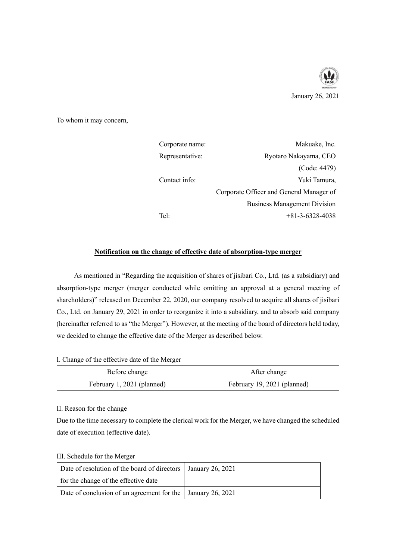

To whom it may concern,

| Corporate name: | Makuake, Inc.                            |
|-----------------|------------------------------------------|
| Representative: | Ryotaro Nakayama, CEO                    |
|                 | (Code: 4479)                             |
| Contact info:   | Yuki Tamura,                             |
|                 | Corporate Officer and General Manager of |
|                 | <b>Business Management Division</b>      |
| Tel:            | $+81-3-6328-4038$                        |

## **Notification on the change of effective date of absorption-type merger**

As mentioned in "Regarding the acquisition of shares of jisibari Co., Ltd. (as a subsidiary) and absorption-type merger (merger conducted while omitting an approval at a general meeting of shareholders)" released on December 22, 2020, our company resolved to acquire all shares of jisibari Co., Ltd. on January 29, 2021 in order to reorganize it into a subsidiary, and to absorb said company (hereinafter referred to as "the Merger"). However, at the meeting of the board of directors held today, we decided to change the effective date of the Merger as described below.

I. Change of the effective date of the Merger

| Before change              | After change                |
|----------------------------|-----------------------------|
| February 1, 2021 (planned) | February 19, 2021 (planned) |

II. Reason for the change

Due to the time necessary to complete the clerical work for the Merger, we have changed the scheduled date of execution (effective date).

III. Schedule for the Merger

| Date of resolution of the board of directors   January 26, 2021 |  |
|-----------------------------------------------------------------|--|
| for the change of the effective date                            |  |
| Date of conclusion of an agreement for the   January 26, 2021   |  |